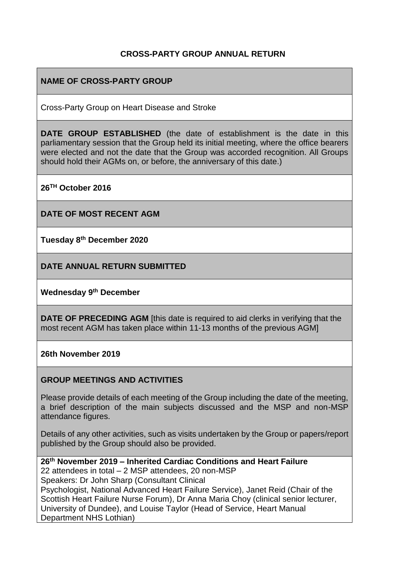#### **CROSS-PARTY GROUP ANNUAL RETURN**

### **NAME OF CROSS-PARTY GROUP**

Cross-Party Group on Heart Disease and Stroke

**DATE GROUP ESTABLISHED** (the date of establishment is the date in this parliamentary session that the Group held its initial meeting, where the office bearers were elected and not the date that the Group was accorded recognition. All Groups should hold their AGMs on, or before, the anniversary of this date.)

**26TH October 2016** 

**DATE OF MOST RECENT AGM**

**Tuesday 8th December 2020**

**DATE ANNUAL RETURN SUBMITTED**

**Wednesday 9 th December** 

**DATE OF PRECEDING AGM** [this date is required to aid clerks in verifying that the most recent AGM has taken place within 11-13 months of the previous AGM]

**26th November 2019**

#### **GROUP MEETINGS AND ACTIVITIES**

Please provide details of each meeting of the Group including the date of the meeting, a brief description of the main subjects discussed and the MSP and non-MSP attendance figures.

Details of any other activities, such as visits undertaken by the Group or papers/report published by the Group should also be provided.

**26th November 2019 – Inherited Cardiac Conditions and Heart Failure**  22 attendees in total – 2 MSP attendees, 20 non-MSP Speakers: Dr John Sharp (Consultant Clinical Psychologist, National Advanced Heart Failure Service), Janet Reid (Chair of the Scottish Heart Failure Nurse Forum), Dr Anna Maria Choy (clinical senior lecturer, University of Dundee), and Louise Taylor (Head of Service, Heart Manual Department NHS Lothian)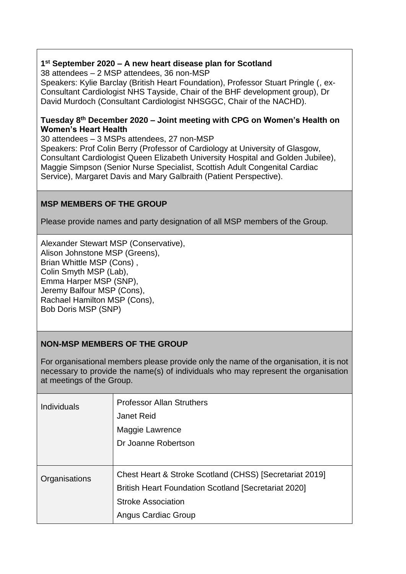#### **1 st September 2020 – A new heart disease plan for Scotland**

38 attendees – 2 MSP attendees, 36 non-MSP Speakers: Kylie Barclay (British Heart Foundation), Professor Stuart Pringle (, ex-Consultant Cardiologist NHS Tayside, Chair of the BHF development group), Dr David Murdoch (Consultant Cardiologist NHSGGC, Chair of the NACHD).

#### **Tuesday 8 th December 2020 – Joint meeting with CPG on Women's Health on Women's Heart Health**

30 attendees – 3 MSPs attendees, 27 non-MSP Speakers: Prof Colin Berry (Professor of Cardiology at University of Glasgow, Consultant Cardiologist Queen Elizabeth University Hospital and Golden Jubilee),

Maggie Simpson (Senior Nurse Specialist, Scottish Adult Congenital Cardiac Service), Margaret Davis and Mary Galbraith (Patient Perspective).

## **MSP MEMBERS OF THE GROUP**

Please provide names and party designation of all MSP members of the Group.

Alexander Stewart MSP (Conservative), Alison Johnstone MSP (Greens), Brian Whittle MSP (Cons) , Colin Smyth MSP (Lab), Emma Harper MSP (SNP), Jeremy Balfour MSP (Cons), Rachael Hamilton MSP (Cons), Bob Doris MSP (SNP)

## **NON-MSP MEMBERS OF THE GROUP**

For organisational members please provide only the name of the organisation, it is not necessary to provide the name(s) of individuals who may represent the organisation at meetings of the Group.

| <b>Individuals</b> | <b>Professor Allan Struthers</b><br><b>Janet Reid</b><br>Maggie Lawrence<br>Dr Joanne Robertson                                                                            |
|--------------------|----------------------------------------------------------------------------------------------------------------------------------------------------------------------------|
| Organisations      | Chest Heart & Stroke Scotland (CHSS) [Secretariat 2019]<br><b>British Heart Foundation Scotland [Secretariat 2020]</b><br><b>Stroke Association</b><br>Angus Cardiac Group |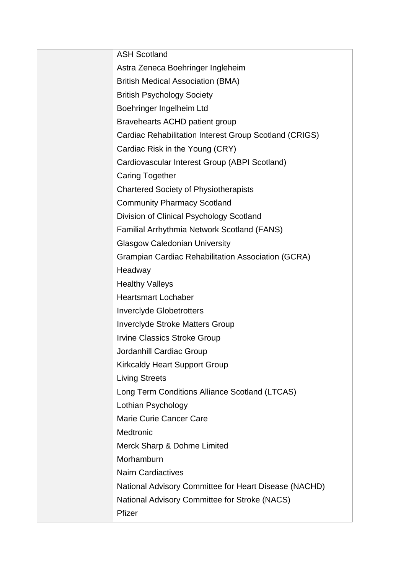| <b>ASH Scotland</b>                                       |
|-----------------------------------------------------------|
| Astra Zeneca Boehringer Ingleheim                         |
| <b>British Medical Association (BMA)</b>                  |
| <b>British Psychology Society</b>                         |
| Boehringer Ingelheim Ltd                                  |
| Bravehearts ACHD patient group                            |
| Cardiac Rehabilitation Interest Group Scotland (CRIGS)    |
| Cardiac Risk in the Young (CRY)                           |
| Cardiovascular Interest Group (ABPI Scotland)             |
| <b>Caring Together</b>                                    |
| <b>Chartered Society of Physiotherapists</b>              |
| <b>Community Pharmacy Scotland</b>                        |
| Division of Clinical Psychology Scotland                  |
| Familial Arrhythmia Network Scotland (FANS)               |
| <b>Glasgow Caledonian University</b>                      |
| <b>Grampian Cardiac Rehabilitation Association (GCRA)</b> |
| Headway                                                   |
| <b>Healthy Valleys</b>                                    |
| <b>Heartsmart Lochaber</b>                                |
| <b>Inverclyde Globetrotters</b>                           |
| <b>Inverclyde Stroke Matters Group</b>                    |
| <b>Irvine Classics Stroke Group</b>                       |
| Jordanhill Cardiac Group                                  |
| <b>Kirkcaldy Heart Support Group</b>                      |
| <b>Living Streets</b>                                     |
| Long Term Conditions Alliance Scotland (LTCAS)            |
| Lothian Psychology                                        |
| <b>Marie Curie Cancer Care</b>                            |
| Medtronic                                                 |
| Merck Sharp & Dohme Limited                               |
| Morhamburn                                                |
| <b>Nairn Cardiactives</b>                                 |
| National Advisory Committee for Heart Disease (NACHD)     |
| National Advisory Committee for Stroke (NACS)             |
| Pfizer                                                    |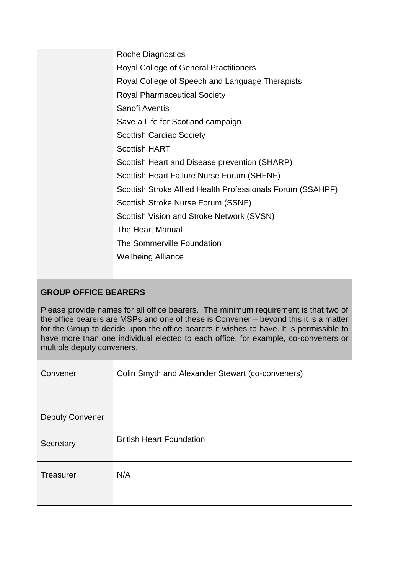|  | <b>Roche Diagnostics</b>                                   |
|--|------------------------------------------------------------|
|  | <b>Royal College of General Practitioners</b>              |
|  | Royal College of Speech and Language Therapists            |
|  | <b>Royal Pharmaceutical Society</b>                        |
|  | Sanofi Aventis                                             |
|  | Save a Life for Scotland campaign                          |
|  | <b>Scottish Cardiac Society</b>                            |
|  | <b>Scottish HART</b>                                       |
|  | Scottish Heart and Disease prevention (SHARP)              |
|  | Scottish Heart Failure Nurse Forum (SHFNF)                 |
|  | Scottish Stroke Allied Health Professionals Forum (SSAHPF) |
|  | Scottish Stroke Nurse Forum (SSNF)                         |
|  | Scottish Vision and Stroke Network (SVSN)                  |
|  | The Heart Manual                                           |
|  | The Sommerville Foundation                                 |
|  | <b>Wellbeing Alliance</b>                                  |
|  |                                                            |
|  |                                                            |

## **GROUP OFFICE BEARERS**

Please provide names for all office bearers. The minimum requirement is that two of the office bearers are MSPs and one of these is Convener – beyond this it is a matter for the Group to decide upon the office bearers it wishes to have. It is permissible to have more than one individual elected to each office, for example, co-conveners or multiple deputy conveners.

| Convener               | Colin Smyth and Alexander Stewart (co-conveners) |
|------------------------|--------------------------------------------------|
| <b>Deputy Convener</b> |                                                  |
| Secretary              | <b>British Heart Foundation</b>                  |
| Treasurer              | N/A                                              |